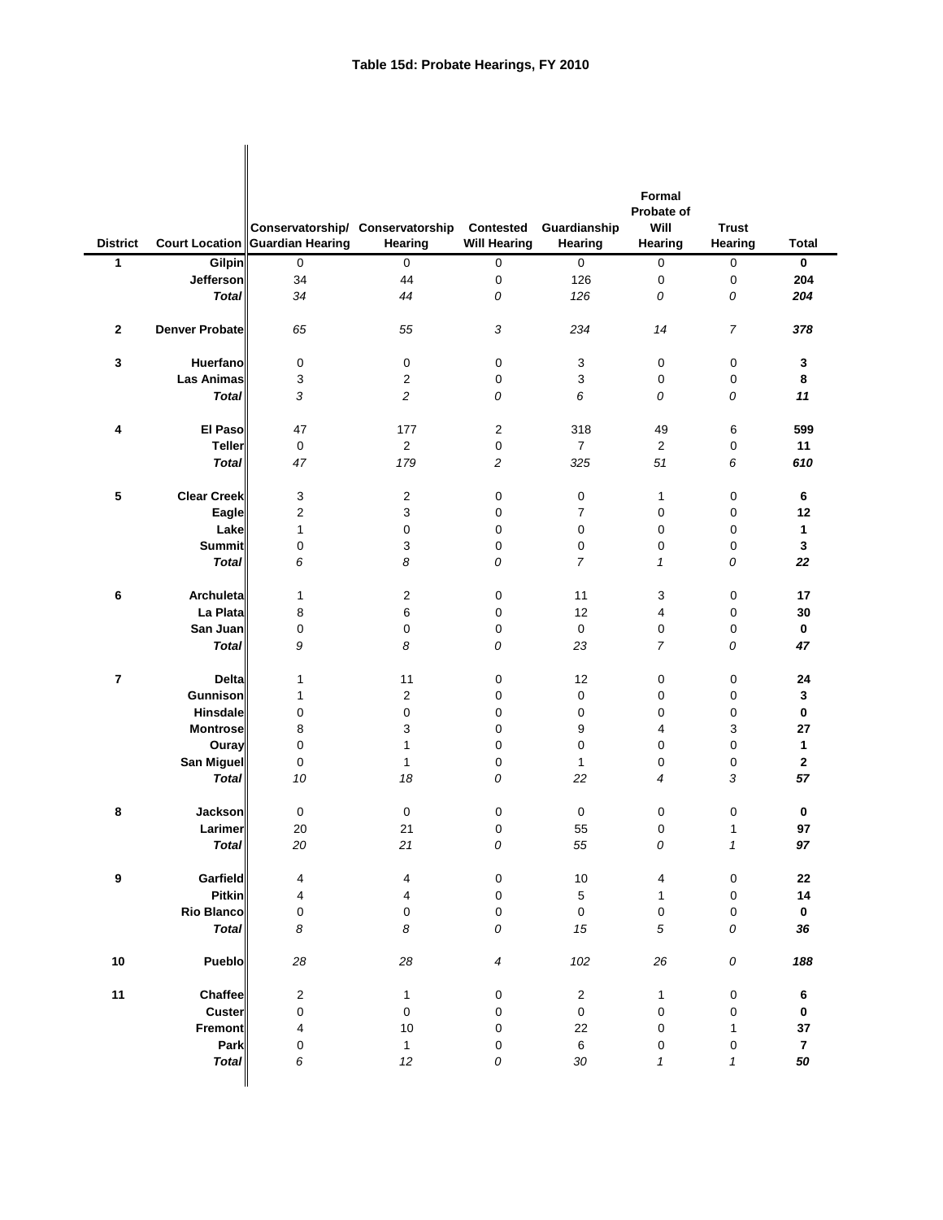|                         |                       | Conservatorship/ Conservatorship  |                   | <b>Contested</b>    | Guardianship                | Formal<br>Probate of<br>Will | <b>Trust</b>               |                  |
|-------------------------|-----------------------|-----------------------------------|-------------------|---------------------|-----------------------------|------------------------------|----------------------------|------------------|
| <b>District</b>         |                       | Court Location   Guardian Hearing | Hearing           | <b>Will Hearing</b> | Hearing                     | Hearing                      | Hearing                    | <b>Total</b>     |
| 1                       | <b>Gilpin</b>         | $\mathbf 0$                       | $\mathsf 0$       | $\mathbf 0$         | 0                           | 0                            | $\pmb{0}$                  | $\mathbf 0$      |
|                         | Jefferson             | 34                                | 44                | 0                   | 126                         | $\pmb{0}$                    | 0                          | 204              |
|                         | <b>Total</b>          | 34                                | 44                | 0                   | 126                         | 0                            | 0                          | 204              |
| $\mathbf 2$             | <b>Denver Probate</b> | 65                                | 55                | 3                   | 234                         | 14                           | 7                          | 378              |
| 3                       | <b>Huerfano</b>       | 0                                 | 0                 | $\pmb{0}$           | 3                           | 0                            | 0                          | 3                |
|                         | <b>Las Animas</b>     | 3                                 | $\overline{c}$    | $\pmb{0}$           | 3                           | 0                            | 0                          | 8                |
|                         | <b>Total</b>          | 3                                 | $\overline{c}$    | 0                   | 6                           | 0                            | 0                          | 11               |
|                         |                       |                                   |                   |                     |                             |                              |                            |                  |
| 4                       | <b>El Paso</b>        | 47                                | 177               | $\overline{2}$      | 318                         | 49                           | 6                          | 599              |
|                         | <b>Teller</b>         | 0                                 | $\overline{c}$    | 0                   | $\overline{7}$              | $\overline{2}$               | 0                          | 11               |
|                         | <b>Total</b>          | 47                                | 179               | $\overline{c}$      | 325                         | 51                           | 6                          | 610              |
|                         |                       |                                   |                   |                     |                             |                              |                            |                  |
| 5                       | <b>Clear Creek</b>    | 3                                 | $\overline{c}$    | 0                   | 0                           | $\mathbf{1}$                 | 0                          | 6                |
|                         | <b>Eagle</b>          | $\overline{\mathbf{c}}$           | 3                 | 0                   | $\overline{7}$              | 0                            | 0                          | 12               |
|                         | Lake                  | 1                                 | 0                 | 0                   | 0                           | 0                            | 0                          | 1                |
|                         | <b>Summit</b>         | 0                                 | 3                 | 0                   | 0                           | 0                            | 0                          | 3                |
|                         | <b>Total</b>          | 6                                 | 8                 | 0                   | $\overline{7}$              | 1                            | 0                          | 22               |
| 6                       | Archuleta             | $\mathbf{1}$                      | $\overline{c}$    | 0                   | 11                          | 3                            | 0                          | 17               |
|                         | La Plata              | 8                                 | 6                 | 0                   | 12                          | $\overline{4}$               | 0                          | 30               |
|                         | San Juan              | 0                                 | 0                 | 0                   | $\pmb{0}$                   | 0                            | 0                          | $\mathbf 0$      |
|                         | <b>Total</b>          | 9                                 | 8                 | 0                   | 23                          | 7                            | 0                          | 47               |
| $\overline{\mathbf{r}}$ | <b>Delta</b>          | 1                                 | 11                | 0                   | 12                          | 0                            | 0                          | 24               |
|                         | <b>Gunnison</b>       | 1                                 | $\overline{c}$    | 0                   | 0                           | 0                            | 0                          | 3                |
|                         | <b>Hinsdale</b>       | 0                                 | 0                 | 0                   | 0                           | 0                            | 0                          | 0                |
|                         | <b>Montrose</b>       | 8                                 | 3                 | 0                   | 9                           | 4                            | 3                          | 27               |
|                         | Ouray                 | 0                                 | 1                 | $\pmb{0}$           | $\pmb{0}$                   | $\pmb{0}$                    | 0                          | 1                |
|                         | San Miguel            | 0                                 | 1                 | $\pmb{0}$           | $\mathbf{1}$                | $\pmb{0}$                    | 0                          | $\mathbf{2}$     |
|                         | <b>Total</b>          | $10\,$                            | 18                | 0                   | 22                          | 4                            | 3                          | ${\bf 57}$       |
| 8                       | <b>Jackson</b>        | $\mathbf 0$                       | $\pmb{0}$         | $\pmb{0}$           | $\pmb{0}$                   | $\pmb{0}$                    | 0                          | $\mathbf 0$      |
|                         | Larimer               | $20\,$                            | 21                | 0                   | 55                          | $\pmb{0}$                    | 1                          | 97               |
|                         | <b>Total</b>          | 20                                | 21                | 0                   | 55                          | 0                            | $\boldsymbol{\mathcal{L}}$ | 97               |
|                         |                       |                                   |                   |                     |                             |                              |                            |                  |
| $\boldsymbol{9}$        | Garfield              | 4                                 | 4                 | $\pmb{0}$           | 10                          | $\overline{\mathbf{4}}$      | 0                          | 22               |
|                         | <b>Pitkin</b>         | 4                                 | 4                 | $\pmb{0}$           | $\sqrt{5}$                  | $\mathbf 1$                  | 0                          | 14               |
|                         | Rio Blanco            | 0                                 | 0                 | $\pmb{0}$           | $\pmb{0}$                   | $\pmb{0}$                    | 0                          | $\mathbf 0$      |
|                         | <b>Total</b>          | 8                                 | 8                 | 0                   | 15                          | 5                            | 0                          | 36               |
| 10                      | Pueblo                | 28                                | 28                | 4                   | 102                         | 26                           | 0                          | 188              |
|                         |                       |                                   |                   |                     |                             |                              |                            |                  |
| 11                      | Chaffee<br>Custer     | $\overline{c}$<br>0               | $\mathbf{1}$<br>0 | $\pmb{0}$<br>0      | $\overline{2}$<br>$\pmb{0}$ | $\mathbf{1}$<br>0            | 0                          | 6<br>$\mathbf 0$ |
|                         | <b>Fremont</b>        |                                   | 10                |                     |                             |                              | 0                          | 37               |
|                         | Park                  | 4<br>0                            | 1                 | 0<br>0              | 22<br>$\,6\,$               | $\pmb{0}$                    | $\mathbf 1$                | $\overline{7}$   |
|                         | <b>Total</b>          | 6                                 |                   |                     | $30\,$                      | 0<br>1                       | 0                          | 50               |
|                         |                       |                                   | 12                | 0                   |                             |                              | 1                          |                  |